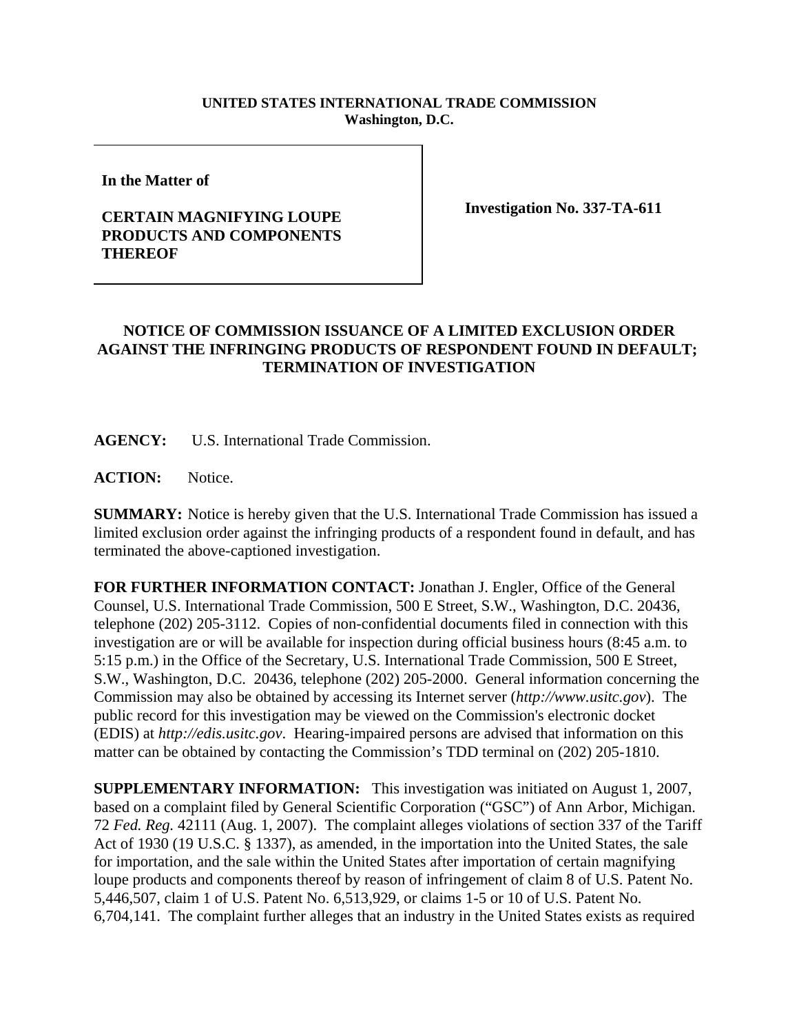## **UNITED STATES INTERNATIONAL TRADE COMMISSION Washington, D.C.**

**In the Matter of**

## **CERTAIN MAGNIFYING LOUPE PRODUCTS AND COMPONENTS THEREOF**

**Investigation No. 337-TA-611**

## **NOTICE OF COMMISSION ISSUANCE OF A LIMITED EXCLUSION ORDER AGAINST THE INFRINGING PRODUCTS OF RESPONDENT FOUND IN DEFAULT; TERMINATION OF INVESTIGATION**

**AGENCY:** U.S. International Trade Commission.

**ACTION:** Notice.

**SUMMARY:** Notice is hereby given that the U.S. International Trade Commission has issued a limited exclusion order against the infringing products of a respondent found in default, and has terminated the above-captioned investigation.

**FOR FURTHER INFORMATION CONTACT:** Jonathan J. Engler, Office of the General Counsel, U.S. International Trade Commission, 500 E Street, S.W., Washington, D.C. 20436, telephone (202) 205-3112. Copies of non-confidential documents filed in connection with this investigation are or will be available for inspection during official business hours (8:45 a.m. to 5:15 p.m.) in the Office of the Secretary, U.S. International Trade Commission, 500 E Street, S.W., Washington, D.C. 20436, telephone (202) 205-2000. General information concerning the Commission may also be obtained by accessing its Internet server (*http://www.usitc.gov*). The public record for this investigation may be viewed on the Commission's electronic docket (EDIS) at *http://edis.usitc.gov*. Hearing-impaired persons are advised that information on this matter can be obtained by contacting the Commission's TDD terminal on (202) 205-1810.

**SUPPLEMENTARY INFORMATION:** This investigation was initiated on August 1, 2007, based on a complaint filed by General Scientific Corporation ("GSC") of Ann Arbor, Michigan. 72 *Fed. Reg.* 42111 (Aug. 1, 2007). The complaint alleges violations of section 337 of the Tariff Act of 1930 (19 U.S.C. § 1337), as amended, in the importation into the United States, the sale for importation, and the sale within the United States after importation of certain magnifying loupe products and components thereof by reason of infringement of claim 8 of U.S. Patent No. 5,446,507, claim 1 of U.S. Patent No. 6,513,929, or claims 1-5 or 10 of U.S. Patent No. 6,704,141. The complaint further alleges that an industry in the United States exists as required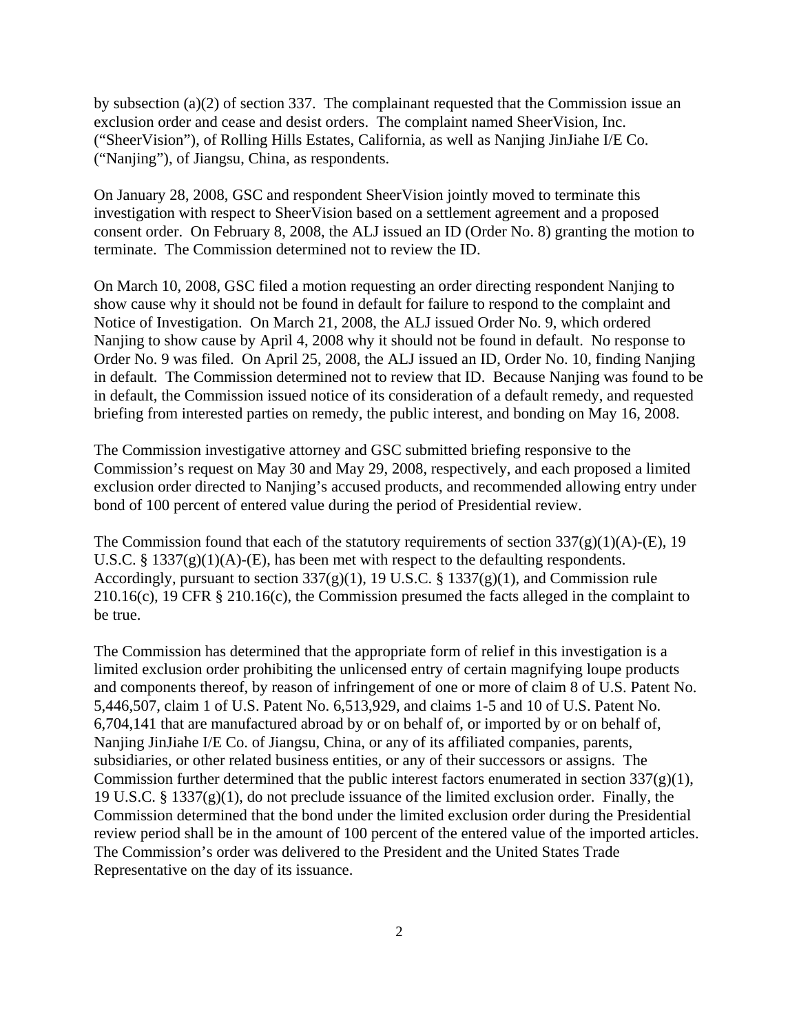by subsection (a)(2) of section 337. The complainant requested that the Commission issue an exclusion order and cease and desist orders. The complaint named SheerVision, Inc. ("SheerVision"), of Rolling Hills Estates, California, as well as Nanjing JinJiahe I/E Co. ("Nanjing"), of Jiangsu, China, as respondents.

On January 28, 2008, GSC and respondent SheerVision jointly moved to terminate this investigation with respect to SheerVision based on a settlement agreement and a proposed consent order. On February 8, 2008, the ALJ issued an ID (Order No. 8) granting the motion to terminate. The Commission determined not to review the ID.

On March 10, 2008, GSC filed a motion requesting an order directing respondent Nanjing to show cause why it should not be found in default for failure to respond to the complaint and Notice of Investigation. On March 21, 2008, the ALJ issued Order No. 9, which ordered Nanjing to show cause by April 4, 2008 why it should not be found in default. No response to Order No. 9 was filed. On April 25, 2008, the ALJ issued an ID, Order No. 10, finding Nanjing in default. The Commission determined not to review that ID. Because Nanjing was found to be in default, the Commission issued notice of its consideration of a default remedy, and requested briefing from interested parties on remedy, the public interest, and bonding on May 16, 2008.

The Commission investigative attorney and GSC submitted briefing responsive to the Commission's request on May 30 and May 29, 2008, respectively, and each proposed a limited exclusion order directed to Nanjing's accused products, and recommended allowing entry under bond of 100 percent of entered value during the period of Presidential review.

The Commission found that each of the statutory requirements of section  $337(g)(1)(A)$ -(E), 19 U.S.C. §  $1337(g)(1)(A)$ -(E), has been met with respect to the defaulting respondents. Accordingly, pursuant to section  $337(g)(1)$ , 19 U.S.C. § 1337(g)(1), and Commission rule 210.16(c), 19 CFR § 210.16(c), the Commission presumed the facts alleged in the complaint to be true.

The Commission has determined that the appropriate form of relief in this investigation is a limited exclusion order prohibiting the unlicensed entry of certain magnifying loupe products and components thereof, by reason of infringement of one or more of claim 8 of U.S. Patent No. 5,446,507, claim 1 of U.S. Patent No. 6,513,929, and claims 1-5 and 10 of U.S. Patent No. 6,704,141 that are manufactured abroad by or on behalf of, or imported by or on behalf of, Nanjing JinJiahe I/E Co. of Jiangsu, China, or any of its affiliated companies, parents, subsidiaries, or other related business entities, or any of their successors or assigns. The Commission further determined that the public interest factors enumerated in section  $337(g)(1)$ , 19 U.S.C. § 1337(g)(1), do not preclude issuance of the limited exclusion order. Finally, the Commission determined that the bond under the limited exclusion order during the Presidential review period shall be in the amount of 100 percent of the entered value of the imported articles. The Commission's order was delivered to the President and the United States Trade Representative on the day of its issuance.